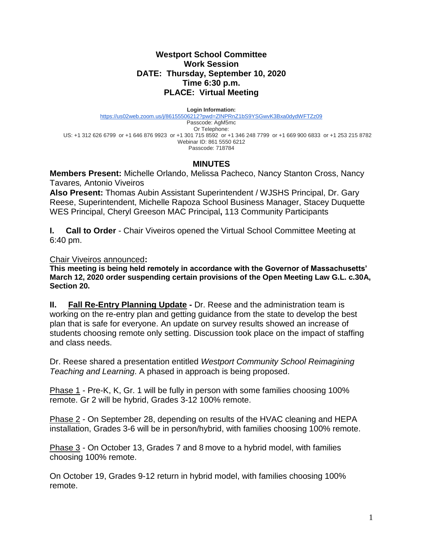## **Westport School Committee Work Session DATE: Thursday, September 10, 2020 Time 6:30 p.m. PLACE: Virtual Meeting**

**Login Information:**

<https://us02web.zoom.us/j/86155506212?pwd=ZlNPRnZ1bS9YSGwvK3Bxa0dydWFTZz09> Passcode: AgM5mc Or Telephone: US: +1 312 626 6799 or +1 646 876 9923 or +1 301 715 8592 or +1 346 248 7799 or +1 669 900 6833 or +1 253 215 8782 Webinar ID: 861 5550 6212 Passcode: 718784

## **MINUTES**

**Members Present:** Michelle Orlando, Melissa Pacheco, Nancy Stanton Cross, Nancy Tavares*,* Antonio Viveiros

**Also Present:** Thomas Aubin Assistant Superintendent / WJSHS Principal, Dr. Gary Reese, Superintendent, Michelle Rapoza School Business Manager, Stacey Duquette WES Principal, Cheryl Greeson MAC Principal**,** 113 Community Participants

**I. Call to Order** - Chair Viveiros opened the Virtual School Committee Meeting at 6:40 pm.

Chair Viveiros announced**:** 

**This meeting is being held remotely in accordance with the Governor of Massachusetts' March 12, 2020 order suspending certain provisions of the Open Meeting Law G.L. c.30A, Section 20.**

**II. Fall Re-Entry Planning Update -** Dr. Reese and the administration team is working on the re-entry plan and getting guidance from the state to develop the best plan that is safe for everyone. An update on survey results showed an increase of students choosing remote only setting. Discussion took place on the impact of staffing and class needs.

Dr. Reese shared a presentation entitled *Westport Community School Reimagining Teaching and Learning*. A phased in approach is being proposed.

Phase 1 - Pre-K, K, Gr. 1 will be fully in person with some families choosing 100% remote. Gr 2 will be hybrid, Grades 3-12 100% remote.

Phase 2 - On September 28, depending on results of the HVAC cleaning and HEPA installation, Grades 3-6 will be in person/hybrid, with families choosing 100% remote.

Phase 3 - On October 13, Grades 7 and 8 move to a hybrid model, with families choosing 100% remote.

On October 19, Grades 9-12 return in hybrid model, with families choosing 100% remote.